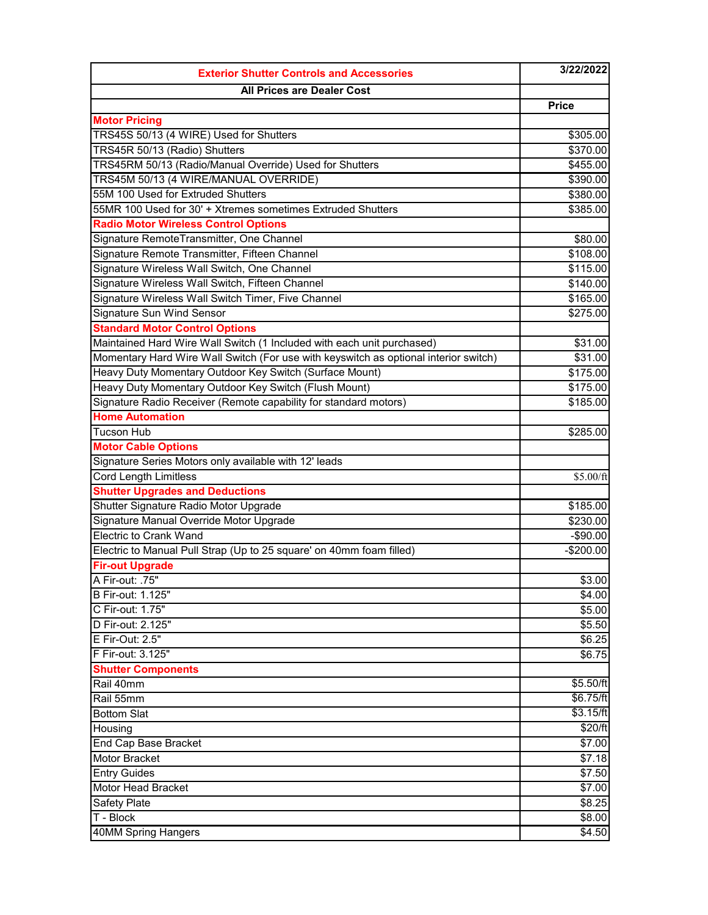| <b>All Prices are Dealer Cost</b><br><b>Price</b><br><b>Motor Pricing</b><br>TRS45S 50/13 (4 WIRE) Used for Shutters<br>\$305.00<br>TRS45R 50/13 (Radio) Shutters<br>\$370.00<br>TRS45RM 50/13 (Radio/Manual Override) Used for Shutters<br>\$455.00<br>TRS45M 50/13 (4 WIRE/MANUAL OVERRIDE)<br>\$390.00<br>55M 100 Used for Extruded Shutters<br>\$380.00<br>55MR 100 Used for 30' + Xtremes sometimes Extruded Shutters<br>\$385.00<br><b>Radio Motor Wireless Control Options</b><br>Signature RemoteTransmitter, One Channel<br>\$80.00<br>Signature Remote Transmitter, Fifteen Channel<br>\$108.00<br>Signature Wireless Wall Switch, One Channel<br>\$115.00<br>Signature Wireless Wall Switch, Fifteen Channel<br>\$140.00<br>Signature Wireless Wall Switch Timer, Five Channel<br>\$165.00<br>Signature Sun Wind Sensor<br>\$275.00<br><b>Standard Motor Control Options</b><br>Maintained Hard Wire Wall Switch (1 Included with each unit purchased)<br>\$31.00<br>Momentary Hard Wire Wall Switch (For use with keyswitch as optional interior switch)<br>\$31.00<br>Heavy Duty Momentary Outdoor Key Switch (Surface Mount)<br>\$175.00<br>Heavy Duty Momentary Outdoor Key Switch (Flush Mount)<br>\$175.00<br>Signature Radio Receiver (Remote capability for standard motors)<br>\$185.00<br><b>Home Automation</b><br><b>Tucson Hub</b><br>\$285.00<br><b>Motor Cable Options</b><br>Signature Series Motors only available with 12' leads<br><b>Cord Length Limitless</b><br>\$5.00/ft<br><b>Shutter Upgrades and Deductions</b><br>Shutter Signature Radio Motor Upgrade<br>\$185.00<br>Signature Manual Override Motor Upgrade<br>\$230.00 |
|------------------------------------------------------------------------------------------------------------------------------------------------------------------------------------------------------------------------------------------------------------------------------------------------------------------------------------------------------------------------------------------------------------------------------------------------------------------------------------------------------------------------------------------------------------------------------------------------------------------------------------------------------------------------------------------------------------------------------------------------------------------------------------------------------------------------------------------------------------------------------------------------------------------------------------------------------------------------------------------------------------------------------------------------------------------------------------------------------------------------------------------------------------------------------------------------------------------------------------------------------------------------------------------------------------------------------------------------------------------------------------------------------------------------------------------------------------------------------------------------------------------------------------------------------------------------------------------------------------------------------------------------------------------|
|                                                                                                                                                                                                                                                                                                                                                                                                                                                                                                                                                                                                                                                                                                                                                                                                                                                                                                                                                                                                                                                                                                                                                                                                                                                                                                                                                                                                                                                                                                                                                                                                                                                                  |
|                                                                                                                                                                                                                                                                                                                                                                                                                                                                                                                                                                                                                                                                                                                                                                                                                                                                                                                                                                                                                                                                                                                                                                                                                                                                                                                                                                                                                                                                                                                                                                                                                                                                  |
|                                                                                                                                                                                                                                                                                                                                                                                                                                                                                                                                                                                                                                                                                                                                                                                                                                                                                                                                                                                                                                                                                                                                                                                                                                                                                                                                                                                                                                                                                                                                                                                                                                                                  |
|                                                                                                                                                                                                                                                                                                                                                                                                                                                                                                                                                                                                                                                                                                                                                                                                                                                                                                                                                                                                                                                                                                                                                                                                                                                                                                                                                                                                                                                                                                                                                                                                                                                                  |
|                                                                                                                                                                                                                                                                                                                                                                                                                                                                                                                                                                                                                                                                                                                                                                                                                                                                                                                                                                                                                                                                                                                                                                                                                                                                                                                                                                                                                                                                                                                                                                                                                                                                  |
|                                                                                                                                                                                                                                                                                                                                                                                                                                                                                                                                                                                                                                                                                                                                                                                                                                                                                                                                                                                                                                                                                                                                                                                                                                                                                                                                                                                                                                                                                                                                                                                                                                                                  |
|                                                                                                                                                                                                                                                                                                                                                                                                                                                                                                                                                                                                                                                                                                                                                                                                                                                                                                                                                                                                                                                                                                                                                                                                                                                                                                                                                                                                                                                                                                                                                                                                                                                                  |
|                                                                                                                                                                                                                                                                                                                                                                                                                                                                                                                                                                                                                                                                                                                                                                                                                                                                                                                                                                                                                                                                                                                                                                                                                                                                                                                                                                                                                                                                                                                                                                                                                                                                  |
|                                                                                                                                                                                                                                                                                                                                                                                                                                                                                                                                                                                                                                                                                                                                                                                                                                                                                                                                                                                                                                                                                                                                                                                                                                                                                                                                                                                                                                                                                                                                                                                                                                                                  |
|                                                                                                                                                                                                                                                                                                                                                                                                                                                                                                                                                                                                                                                                                                                                                                                                                                                                                                                                                                                                                                                                                                                                                                                                                                                                                                                                                                                                                                                                                                                                                                                                                                                                  |
|                                                                                                                                                                                                                                                                                                                                                                                                                                                                                                                                                                                                                                                                                                                                                                                                                                                                                                                                                                                                                                                                                                                                                                                                                                                                                                                                                                                                                                                                                                                                                                                                                                                                  |
|                                                                                                                                                                                                                                                                                                                                                                                                                                                                                                                                                                                                                                                                                                                                                                                                                                                                                                                                                                                                                                                                                                                                                                                                                                                                                                                                                                                                                                                                                                                                                                                                                                                                  |
|                                                                                                                                                                                                                                                                                                                                                                                                                                                                                                                                                                                                                                                                                                                                                                                                                                                                                                                                                                                                                                                                                                                                                                                                                                                                                                                                                                                                                                                                                                                                                                                                                                                                  |
|                                                                                                                                                                                                                                                                                                                                                                                                                                                                                                                                                                                                                                                                                                                                                                                                                                                                                                                                                                                                                                                                                                                                                                                                                                                                                                                                                                                                                                                                                                                                                                                                                                                                  |
|                                                                                                                                                                                                                                                                                                                                                                                                                                                                                                                                                                                                                                                                                                                                                                                                                                                                                                                                                                                                                                                                                                                                                                                                                                                                                                                                                                                                                                                                                                                                                                                                                                                                  |
|                                                                                                                                                                                                                                                                                                                                                                                                                                                                                                                                                                                                                                                                                                                                                                                                                                                                                                                                                                                                                                                                                                                                                                                                                                                                                                                                                                                                                                                                                                                                                                                                                                                                  |
|                                                                                                                                                                                                                                                                                                                                                                                                                                                                                                                                                                                                                                                                                                                                                                                                                                                                                                                                                                                                                                                                                                                                                                                                                                                                                                                                                                                                                                                                                                                                                                                                                                                                  |
|                                                                                                                                                                                                                                                                                                                                                                                                                                                                                                                                                                                                                                                                                                                                                                                                                                                                                                                                                                                                                                                                                                                                                                                                                                                                                                                                                                                                                                                                                                                                                                                                                                                                  |
|                                                                                                                                                                                                                                                                                                                                                                                                                                                                                                                                                                                                                                                                                                                                                                                                                                                                                                                                                                                                                                                                                                                                                                                                                                                                                                                                                                                                                                                                                                                                                                                                                                                                  |
|                                                                                                                                                                                                                                                                                                                                                                                                                                                                                                                                                                                                                                                                                                                                                                                                                                                                                                                                                                                                                                                                                                                                                                                                                                                                                                                                                                                                                                                                                                                                                                                                                                                                  |
|                                                                                                                                                                                                                                                                                                                                                                                                                                                                                                                                                                                                                                                                                                                                                                                                                                                                                                                                                                                                                                                                                                                                                                                                                                                                                                                                                                                                                                                                                                                                                                                                                                                                  |
|                                                                                                                                                                                                                                                                                                                                                                                                                                                                                                                                                                                                                                                                                                                                                                                                                                                                                                                                                                                                                                                                                                                                                                                                                                                                                                                                                                                                                                                                                                                                                                                                                                                                  |
|                                                                                                                                                                                                                                                                                                                                                                                                                                                                                                                                                                                                                                                                                                                                                                                                                                                                                                                                                                                                                                                                                                                                                                                                                                                                                                                                                                                                                                                                                                                                                                                                                                                                  |
|                                                                                                                                                                                                                                                                                                                                                                                                                                                                                                                                                                                                                                                                                                                                                                                                                                                                                                                                                                                                                                                                                                                                                                                                                                                                                                                                                                                                                                                                                                                                                                                                                                                                  |
|                                                                                                                                                                                                                                                                                                                                                                                                                                                                                                                                                                                                                                                                                                                                                                                                                                                                                                                                                                                                                                                                                                                                                                                                                                                                                                                                                                                                                                                                                                                                                                                                                                                                  |
|                                                                                                                                                                                                                                                                                                                                                                                                                                                                                                                                                                                                                                                                                                                                                                                                                                                                                                                                                                                                                                                                                                                                                                                                                                                                                                                                                                                                                                                                                                                                                                                                                                                                  |
|                                                                                                                                                                                                                                                                                                                                                                                                                                                                                                                                                                                                                                                                                                                                                                                                                                                                                                                                                                                                                                                                                                                                                                                                                                                                                                                                                                                                                                                                                                                                                                                                                                                                  |
|                                                                                                                                                                                                                                                                                                                                                                                                                                                                                                                                                                                                                                                                                                                                                                                                                                                                                                                                                                                                                                                                                                                                                                                                                                                                                                                                                                                                                                                                                                                                                                                                                                                                  |
|                                                                                                                                                                                                                                                                                                                                                                                                                                                                                                                                                                                                                                                                                                                                                                                                                                                                                                                                                                                                                                                                                                                                                                                                                                                                                                                                                                                                                                                                                                                                                                                                                                                                  |
|                                                                                                                                                                                                                                                                                                                                                                                                                                                                                                                                                                                                                                                                                                                                                                                                                                                                                                                                                                                                                                                                                                                                                                                                                                                                                                                                                                                                                                                                                                                                                                                                                                                                  |
| <b>Electric to Crank Wand</b><br>$-$90.00$                                                                                                                                                                                                                                                                                                                                                                                                                                                                                                                                                                                                                                                                                                                                                                                                                                                                                                                                                                                                                                                                                                                                                                                                                                                                                                                                                                                                                                                                                                                                                                                                                       |
| Electric to Manual Pull Strap (Up to 25 square' on 40mm foam filled)<br>$-$200.00$                                                                                                                                                                                                                                                                                                                                                                                                                                                                                                                                                                                                                                                                                                                                                                                                                                                                                                                                                                                                                                                                                                                                                                                                                                                                                                                                                                                                                                                                                                                                                                               |
| <b>Fir-out Upgrade</b>                                                                                                                                                                                                                                                                                                                                                                                                                                                                                                                                                                                                                                                                                                                                                                                                                                                                                                                                                                                                                                                                                                                                                                                                                                                                                                                                                                                                                                                                                                                                                                                                                                           |
| A Fir-out: .75"<br>\$3.00                                                                                                                                                                                                                                                                                                                                                                                                                                                                                                                                                                                                                                                                                                                                                                                                                                                                                                                                                                                                                                                                                                                                                                                                                                                                                                                                                                                                                                                                                                                                                                                                                                        |
| <b>B Fir-out: 1.125"</b><br>\$4.00                                                                                                                                                                                                                                                                                                                                                                                                                                                                                                                                                                                                                                                                                                                                                                                                                                                                                                                                                                                                                                                                                                                                                                                                                                                                                                                                                                                                                                                                                                                                                                                                                               |
| \$5.00<br>C Fir-out: 1.75"                                                                                                                                                                                                                                                                                                                                                                                                                                                                                                                                                                                                                                                                                                                                                                                                                                                                                                                                                                                                                                                                                                                                                                                                                                                                                                                                                                                                                                                                                                                                                                                                                                       |
| D Fir-out: 2.125"<br>\$5.50                                                                                                                                                                                                                                                                                                                                                                                                                                                                                                                                                                                                                                                                                                                                                                                                                                                                                                                                                                                                                                                                                                                                                                                                                                                                                                                                                                                                                                                                                                                                                                                                                                      |
| E Fir-Out: 2.5"<br>$\overline{$6.25}$                                                                                                                                                                                                                                                                                                                                                                                                                                                                                                                                                                                                                                                                                                                                                                                                                                                                                                                                                                                                                                                                                                                                                                                                                                                                                                                                                                                                                                                                                                                                                                                                                            |
| F Fir-out: 3.125"<br>\$6.75                                                                                                                                                                                                                                                                                                                                                                                                                                                                                                                                                                                                                                                                                                                                                                                                                                                                                                                                                                                                                                                                                                                                                                                                                                                                                                                                                                                                                                                                                                                                                                                                                                      |
| <b>Shutter Components</b>                                                                                                                                                                                                                                                                                                                                                                                                                                                                                                                                                                                                                                                                                                                                                                                                                                                                                                                                                                                                                                                                                                                                                                                                                                                                                                                                                                                                                                                                                                                                                                                                                                        |
| \$5.50/ft<br>Rail 40mm                                                                                                                                                                                                                                                                                                                                                                                                                                                                                                                                                                                                                                                                                                                                                                                                                                                                                                                                                                                                                                                                                                                                                                                                                                                                                                                                                                                                                                                                                                                                                                                                                                           |
| \$6.75/ft<br>Rail 55mm                                                                                                                                                                                                                                                                                                                                                                                                                                                                                                                                                                                                                                                                                                                                                                                                                                                                                                                                                                                                                                                                                                                                                                                                                                                                                                                                                                                                                                                                                                                                                                                                                                           |
| \$3.15/ft<br><b>Bottom Slat</b>                                                                                                                                                                                                                                                                                                                                                                                                                                                                                                                                                                                                                                                                                                                                                                                                                                                                                                                                                                                                                                                                                                                                                                                                                                                                                                                                                                                                                                                                                                                                                                                                                                  |
| \$20/ft<br>Housing                                                                                                                                                                                                                                                                                                                                                                                                                                                                                                                                                                                                                                                                                                                                                                                                                                                                                                                                                                                                                                                                                                                                                                                                                                                                                                                                                                                                                                                                                                                                                                                                                                               |
| <b>End Cap Base Bracket</b><br>\$7.00                                                                                                                                                                                                                                                                                                                                                                                                                                                                                                                                                                                                                                                                                                                                                                                                                                                                                                                                                                                                                                                                                                                                                                                                                                                                                                                                                                                                                                                                                                                                                                                                                            |
| Motor Bracket<br>\$7.18                                                                                                                                                                                                                                                                                                                                                                                                                                                                                                                                                                                                                                                                                                                                                                                                                                                                                                                                                                                                                                                                                                                                                                                                                                                                                                                                                                                                                                                                                                                                                                                                                                          |
| <b>Entry Guides</b><br>\$7.50                                                                                                                                                                                                                                                                                                                                                                                                                                                                                                                                                                                                                                                                                                                                                                                                                                                                                                                                                                                                                                                                                                                                                                                                                                                                                                                                                                                                                                                                                                                                                                                                                                    |
| Motor Head Bracket<br>\$7.00                                                                                                                                                                                                                                                                                                                                                                                                                                                                                                                                                                                                                                                                                                                                                                                                                                                                                                                                                                                                                                                                                                                                                                                                                                                                                                                                                                                                                                                                                                                                                                                                                                     |
| <b>Safety Plate</b><br>\$8.25                                                                                                                                                                                                                                                                                                                                                                                                                                                                                                                                                                                                                                                                                                                                                                                                                                                                                                                                                                                                                                                                                                                                                                                                                                                                                                                                                                                                                                                                                                                                                                                                                                    |
| T - Block<br>\$8.00                                                                                                                                                                                                                                                                                                                                                                                                                                                                                                                                                                                                                                                                                                                                                                                                                                                                                                                                                                                                                                                                                                                                                                                                                                                                                                                                                                                                                                                                                                                                                                                                                                              |
| 40MM Spring Hangers<br>\$4.50                                                                                                                                                                                                                                                                                                                                                                                                                                                                                                                                                                                                                                                                                                                                                                                                                                                                                                                                                                                                                                                                                                                                                                                                                                                                                                                                                                                                                                                                                                                                                                                                                                    |